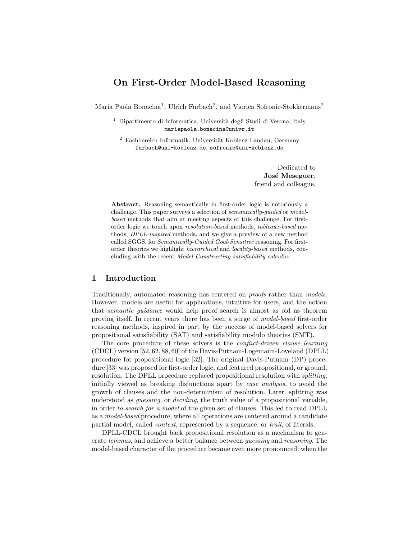# On First-Order Model-Based Reasoning

Maria Paola Bonacina<sup>1</sup>, Ulrich Furbach<sup>2</sup>, and Viorica Sofronie-Stokkermans<sup>2</sup>

 $1$  Dipartimento di Informatica, Università degli Studi di Verona, Italy mariapaola.bonacina@univr.it

 $2$  Fachbereich Informatik, Universität Koblenz-Landau, Germany furbach@uni-koblenz.de, sofronie@uni-koblenz.de

> Dedicated to José Meseguer, friend and colleague.

Abstract. Reasoning semantically in first-order logic is notoriously a challenge. This paper surveys a selection of semantically-guided or modelbased methods that aim at meeting aspects of this challenge. For firstorder logic we touch upon resolution-based methods, tableaux-based methods, DPLL-inspired methods, and we give a preview of a new method called SGGS, for Semantically-Guided Goal-Sensitive reasoning. For firstorder theories we highlight hierarchical and locality-based methods, concluding with the recent Model-Constructing satisfiability calculus.

## 1 Introduction

Traditionally, automated reasoning has centered on proofs rather than models. However, models are useful for applications, intuitive for users, and the notion that semantic guidance would help proof search is almost as old as theorem proving itself. In recent years there has been a surge of model-based first-order reasoning methods, inspired in part by the success of model-based solvers for propositional satisfiability (SAT) and satisfiability modulo theories (SMT).

The core procedure of these solvers is the *conflict-driven clause learning* (CDCL) version [52, 62, 88, 60] of the Davis-Putnam-Logemann-Loveland (DPLL) procedure for propositional logic [32]. The original Davis-Putnam (DP) procedure [33] was proposed for first-order logic, and featured propositional, or ground, resolution. The DPLL procedure replaced propositional resolution with splitting, initially viewed as breaking disjunctions apart by case analysis, to avoid the growth of clauses and the non-determinism of resolution. Later, splitting was understood as guessing, or deciding, the truth value of a propositional variable, in order to search for a model of the given set of clauses. This led to read DPLL as a model-based procedure, where all operations are centered around a candidate partial model, called context, represented by a sequence, or trail, of literals.

DPLL-CDCL brought back propositional resolution as a mechanism to generate lemmas, and achieve a better balance between guessing and reasoning. The model-based character of the procedure became even more pronounced: when the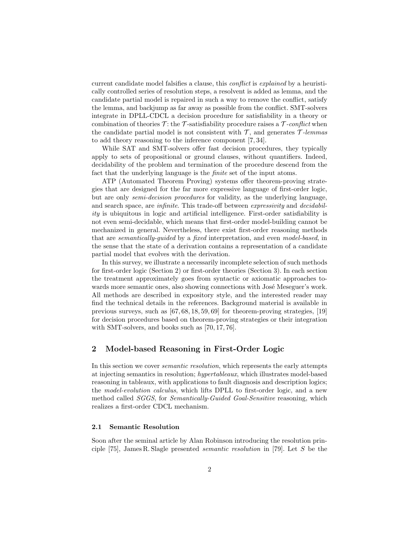current candidate model falsifies a clause, this *conflict* is *explained* by a heuristically controlled series of resolution steps, a resolvent is added as lemma, and the candidate partial model is repaired in such a way to remove the conflict, satisfy the lemma, and backjump as far away as possible from the conflict. SMT-solvers integrate in DPLL-CDCL a decision procedure for satisfiability in a theory or combination of theories  $\mathcal{T}$ : the  $\mathcal{T}$ -satisfiability procedure raises a  $\mathcal{T}$ -conflict when the candidate partial model is not consistent with  $\mathcal{T}$ , and generates  $\mathcal{T}$ -lemmas to add theory reasoning to the inference component [7, 34].

While SAT and SMT-solvers offer fast decision procedures, they typically apply to sets of propositional or ground clauses, without quantifiers. Indeed, decidability of the problem and termination of the procedure descend from the fact that the underlying language is the finite set of the input atoms.

ATP (Automated Theorem Proving) systems offer theorem-proving strategies that are designed for the far more expressive language of first-order logic, but are only semi-decision procedures for validity, as the underlying language, and search space, are *infinite*. This trade-off between *expressivity* and *decidabil*ity is ubiquitous in logic and artificial intelligence. First-order satisfiability is not even semi-decidable, which means that first-order model-building cannot be mechanized in general. Nevertheless, there exist first-order reasoning methods that are semantically-guided by a fixed interpretation, and even model-based, in the sense that the state of a derivation contains a representation of a candidate partial model that evolves with the derivation.

In this survey, we illustrate a necessarily incomplete selection of such methods for first-order logic (Section 2) or first-order theories (Section 3). In each section the treatment approximately goes from syntactic or axiomatic approaches towards more semantic ones, also showing connections with José Meseguer's work. All methods are described in expository style, and the interested reader may find the technical details in the references. Background material is available in previous surveys, such as [67, 68, 18, 59, 69] for theorem-proving strategies, [19] for decision procedures based on theorem-proving strategies or their integration with SMT-solvers, and books such as [70, 17, 76].

# 2 Model-based Reasoning in First-Order Logic

In this section we cover semantic resolution, which represents the early attempts at injecting semantics in resolution; hypertableaux, which illustrates model-based reasoning in tableaux, with applications to fault diagnosis and description logics; the model-evolution calculus, which lifts DPLL to first-order logic, and a new method called SGGS, for Semantically-Guided Goal-Sensitive reasoning, which realizes a first-order CDCL mechanism.

## 2.1 Semantic Resolution

Soon after the seminal article by Alan Robinson introducing the resolution principle  $[75]$ , James R. Slagle presented *semantic resolution* in [79]. Let S be the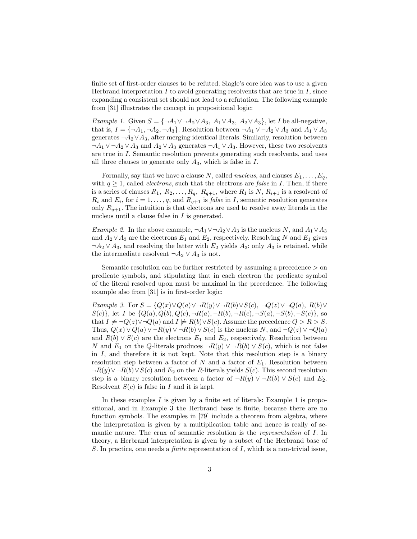finite set of first-order clauses to be refuted. Slagle's core idea was to use a given Herbrand interpretation  $I$  to avoid generating resolvents that are true in  $I$ , since expanding a consistent set should not lead to a refutation. The following example from [31] illustrates the concept in propositional logic:

Example 1. Given  $S = \{\neg A_1 \lor \neg A_2 \lor A_3, A_1 \lor A_3, A_2 \lor A_3\}$ , let I be all-negative, that is,  $I = \{\neg A_1, \neg A_2, \neg A_3\}$ . Resolution between  $\neg A_1 \vee \neg A_2 \vee A_3$  and  $A_1 \vee A_3$ generates  $\neg A_2 \lor A_3$ , after merging identical literals. Similarly, resolution between  $\neg A_1 \lor \neg A_2 \lor A_3$  and  $A_2 \lor A_3$  generates  $\neg A_1 \lor A_3$ . However, these two resolvents are true in I. Semantic resolution prevents generating such resolvents, and uses all three clauses to generate only  $A_3$ , which is false in  $I$ .

Formally, say that we have a clause N, called *nucleus*, and clauses  $E_1, \ldots, E_q$ , with  $q \geq 1$ , called *electrons*, such that the electrons are *false* in *I*. Then, if there is a series of clauses  $R_1, R_2, \ldots, R_q, R_{q+1}$ , where  $R_1$  is N,  $R_{i+1}$  is a resolvent of  $R_i$  and  $E_i$ , for  $i = 1, \ldots, q$ , and  $R_{q+1}$  is *false* in *I*, semantic resolution generates only  $R_{q+1}$ . The intuition is that electrons are used to resolve away literals in the nucleus until a clause false in I is generated.

Example 2. In the above example,  $\neg A_1 \vee \neg A_2 \vee A_3$  is the nucleus N, and  $A_1 \vee A_3$ and  $A_2 \vee A_3$  are the electrons  $E_1$  and  $E_2$ , respectively. Resolving N and  $E_1$  gives  $\neg A_2 \lor A_3$ , and resolving the latter with  $E_2$  yields  $A_3$ : only  $A_3$  is retained, while the intermediate resolvent  $\neg A_2 \lor A_3$  is not.

Semantic resolution can be further restricted by assuming a precedence > on predicate symbols, and stipulating that in each electron the predicate symbol of the literal resolved upon must be maximal in the precedence. The following example also from [31] is in first-order logic:

Example 3. For  $S = \{Q(x) \vee Q(a) \vee \neg R(y) \vee \neg R(b) \vee S(c), \neg Q(z) \vee \neg Q(a), R(b) \vee$  $S(c)$ , let I be  $\{Q(a), Q(b), Q(c), \neg R(a), \neg R(b), \neg R(c), \neg S(a), \neg S(b), \neg S(c)\}$ , so that  $I \not\models \neg Q(z) \lor \neg Q(a)$  and  $I \not\models R(b) \lor S(c)$ . Assume the precedence  $Q > R > S$ . Thus,  $Q(x) \vee Q(a) \vee \neg R(y) \vee \neg R(b) \vee S(c)$  is the nucleus N, and  $\neg Q(z) \vee \neg Q(a)$ and  $R(b) \vee S(c)$  are the electrons  $E_1$  and  $E_2$ , respectively. Resolution between N and  $E_1$  on the Q-literals produces  $\neg R(y) \vee \neg R(b) \vee S(c)$ , which is not false in  $I$ , and therefore it is not kept. Note that this resolution step is a binary resolution step between a factor of  $N$  and a factor of  $E_1$ . Resolution between  $\neg R(y) \vee \neg R(b) \vee S(c)$  and  $E_2$  on the R-literals yields  $S(c)$ . This second resolution step is a binary resolution between a factor of  $\neg R(y) \vee \neg R(b) \vee S(c)$  and  $E_2$ . Resolvent  $S(c)$  is false in I and it is kept.

In these examples  $I$  is given by a finite set of literals: Example 1 is propositional, and in Example 3 the Herbrand base is finite, because there are no function symbols. The examples in [79] include a theorem from algebra, where the interpretation is given by a multiplication table and hence is really of semantic nature. The crux of semantic resolution is the representation of I. In theory, a Herbrand interpretation is given by a subset of the Herbrand base of S. In practice, one needs a *finite* representation of  $I$ , which is a non-trivial issue,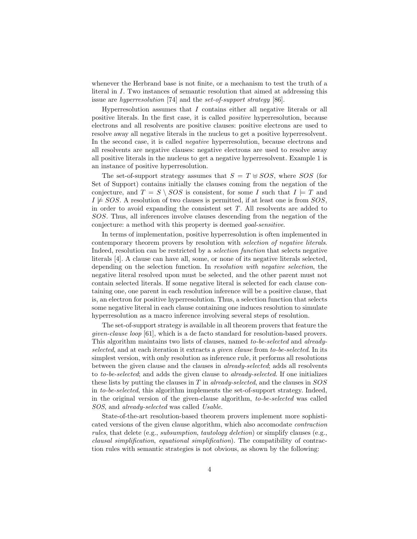whenever the Herbrand base is not finite, or a mechanism to test the truth of a literal in I. Two instances of semantic resolution that aimed at addressing this issue are hyperresolution [74] and the set-of-support strategy [86].

Hyperresolution assumes that  $I$  contains either all negative literals or all positive literals. In the first case, it is called positive hyperresolution, because electrons and all resolvents are positive clauses: positive electrons are used to resolve away all negative literals in the nucleus to get a positive hyperresolvent. In the second case, it is called negative hyperresolution, because electrons and all resolvents are negative clauses: negative electrons are used to resolve away all positive literals in the nucleus to get a negative hyperresolvent. Example 1 is an instance of positive hyperresolution.

The set-of-support strategy assumes that  $S = T \oplus SOS$ , where SOS (for Set of Support) contains initially the clauses coming from the negation of the conjecture, and  $T = S \setminus SOS$  is consistent, for some I such that  $I \models T$  and  $I \not\models SOS$ . A resolution of two clauses is permitted, if at least one is from  $SOS$ , in order to avoid expanding the consistent set  $T$ . All resolvents are added to SOS. Thus, all inferences involve clauses descending from the negation of the conjecture: a method with this property is deemed goal-sensitive.

In terms of implementation, positive hyperresolution is often implemented in contemporary theorem provers by resolution with selection of negative literals. Indeed, resolution can be restricted by a selection function that selects negative literals [4]. A clause can have all, some, or none of its negative literals selected, depending on the selection function. In resolution with negative selection, the negative literal resolved upon must be selected, and the other parent must not contain selected literals. If some negative literal is selected for each clause containing one, one parent in each resolution inference will be a positive clause, that is, an electron for positive hyperresolution. Thus, a selection function that selects some negative literal in each clause containing one induces resolution to simulate hyperresolution as a macro inference involving several steps of resolution.

The set-of-support strategy is available in all theorem provers that feature the given-clause loop [61], which is a de facto standard for resolution-based provers. This algorithm maintains two lists of clauses, named to-be-selected and alreadyselected, and at each iteration it extracts a *given clause* from to-be-selected. In its simplest version, with only resolution as inference rule, it performs all resolutions between the given clause and the clauses in already-selected; adds all resolvents to to-be-selected; and adds the given clause to already-selected. If one initializes these lists by putting the clauses in T in already-selected, and the clauses in SOS in to-be-selected, this algorithm implements the set-of-support strategy. Indeed, in the original version of the given-clause algorithm, to-be-selected was called SOS, and already-selected was called Usable.

State-of-the-art resolution-based theorem provers implement more sophisticated versions of the given clause algorithm, which also accomodate contraction rules, that delete (e.g., subsumption, tautology deletion) or simplify clauses (e.g., clausal simplification, equational simplification). The compatibility of contraction rules with semantic strategies is not obvious, as shown by the following: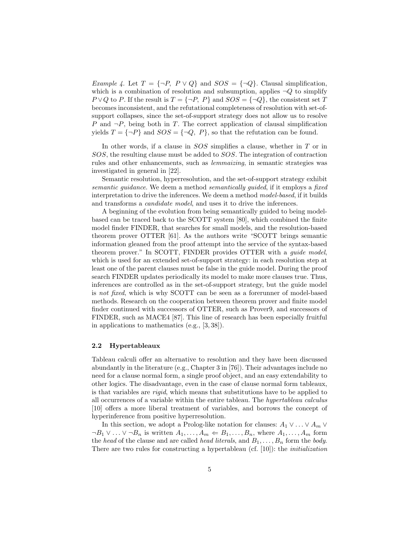*Example 4.* Let  $T = \{\neg P, P \lor Q\}$  and  $SOS = \{\neg Q\}$ . Clausal simplification, which is a combination of resolution and subsumption, applies  $\neg Q$  to simplify  $P \vee Q$  to P. If the result is  $T = \{\neg P, P\}$  and  $SOS = \{\neg Q\}$ , the consistent set T becomes inconsistent, and the refutational completeness of resolution with set-ofsupport collapses, since the set-of-support strategy does not allow us to resolve P and  $\neg P$ , being both in T. The correct application of clausal simplification yields  $T = {\neg P}$  and  $SOS = {\neg Q, P}$ , so that the refutation can be found.

In other words, if a clause in  $SOS$  simplifies a clause, whether in T or in SOS, the resulting clause must be added to SOS. The integration of contraction rules and other enhancements, such as lemmaizing, in semantic strategies was investigated in general in [22].

Semantic resolution, hyperresolution, and the set-of-support strategy exhibit semantic guidance. We deem a method semantically guided, if it employs a fixed interpretation to drive the inferences. We deem a method *model-based*, if it builds and transforms a candidate model, and uses it to drive the inferences.

A beginning of the evolution from being semantically guided to being modelbased can be traced back to the SCOTT system [80], which combined the finite model finder FINDER, that searches for small models, and the resolution-based theorem prover OTTER [61]. As the authors write "SCOTT brings semantic information gleaned from the proof attempt into the service of the syntax-based theorem prover." In SCOTT, FINDER provides OTTER with a guide model, which is used for an extended set-of-support strategy: in each resolution step at least one of the parent clauses must be false in the guide model. During the proof search FINDER updates periodically its model to make more clauses true. Thus, inferences are controlled as in the set-of-support strategy, but the guide model is not fixed, which is why SCOTT can be seen as a forerunner of model-based methods. Research on the cooperation between theorem prover and finite model finder continued with successors of OTTER, such as Prover9, and successors of FINDER, such as MACE4 [87]. This line of research has been especially fruitful in applications to mathematics (e.g., [3, 38]).

#### 2.2 Hypertableaux

Tableau calculi offer an alternative to resolution and they have been discussed abundantly in the literature (e.g., Chapter 3 in [76]). Their advantages include no need for a clause normal form, a single proof object, and an easy extendability to other logics. The disadvantage, even in the case of clause normal form tableaux, is that variables are rigid, which means that substitutions have to be applied to all occurrences of a variable within the entire tableau. The hypertableau calculus [10] offers a more liberal treatment of variables, and borrows the concept of hyperinference from positive hyperresolution.

In this section, we adopt a Prolog-like notation for clauses:  $A_1 \vee \ldots \vee A_m \vee$  $\neg B_1 \vee \ldots \vee \neg B_n$  is written  $A_1, \ldots, A_m \Leftarrow B_1, \ldots, B_n$ , where  $A_1, \ldots, A_m$  form the head of the clause and are called head literals, and  $B_1, \ldots, B_n$  form the body. There are two rules for constructing a hypertableau (cf. [10]): the *initialization*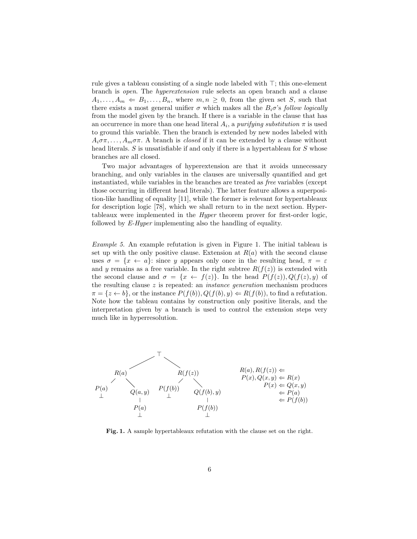rule gives a tableau consisting of a single node labeled with  $\top$ ; this one-element branch is open. The hyperextension rule selects an open branch and a clause  $A_1, \ldots, A_m \leftarrow B_1, \ldots, B_n$ , where  $m, n \geq 0$ , from the given set S, such that there exists a most general unifier  $\sigma$  which makes all the  $B_i \sigma$ 's follow logically from the model given by the branch. If there is a variable in the clause that has an occurrence in more than one head literal  $A_i$ , a *purifying substitution*  $\pi$  is used to ground this variable. Then the branch is extended by new nodes labeled with  $A_i\sigma\pi, \ldots, A_m\sigma\pi$ . A branch is *closed* if it can be extended by a clause without head literals. S is unsatisfiable if and only if there is a hypertableau for S whose branches are all closed.

Two major advantages of hyperextension are that it avoids unnecessary branching, and only variables in the clauses are universally quantified and get instantiated, while variables in the branches are treated as free variables (except those occurring in different head literals). The latter feature allows a superposition-like handling of equality [11], while the former is relevant for hypertableaux for description logic [78], which we shall return to in the next section. Hypertableaux were implemented in the Hyper theorem prover for first-order logic, followed by E-Hyper implementing also the handling of equality.

Example 5. An example refutation is given in Figure 1. The initial tableau is set up with the only positive clause. Extension at  $R(a)$  with the second clause uses  $\sigma = \{x \leftarrow a\}$ : since y appears only once in the resulting head,  $\pi = \varepsilon$ and y remains as a free variable. In the right subtree  $R(f(z))$  is extended with the second clause and  $\sigma = \{x \leftarrow f(z)\}\)$ . In the head  $P(f(z)), Q(f(z), y)$  of the resulting clause  $z$  is repeated: an *instance generation* mechanism produces  $\pi = \{z \leftarrow b\}$ , or the instance  $P(f(b)), Q(f(b), y) \leftarrow R(f(b))$ , to find a refutation. Note how the tableau contains by construction only positive literals, and the interpretation given by a branch is used to control the extension steps very much like in hyperresolution.



Fig. 1. A sample hypertableaux refutation with the clause set on the right.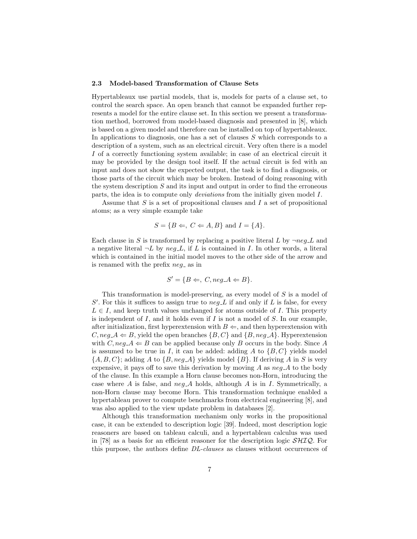#### 2.3 Model-based Transformation of Clause Sets

Hypertableaux use partial models, that is, models for parts of a clause set, to control the search space. An open branch that cannot be expanded further represents a model for the entire clause set. In this section we present a transformation method, borrowed from model-based diagnosis and presented in [8], which is based on a given model and therefore can be installed on top of hypertableaux. In applications to diagnosis, one has a set of clauses  $S$  which corresponds to a description of a system, such as an electrical circuit. Very often there is a model I of a correctly functioning system available; in case of an electrical circuit it may be provided by the design tool itself. If the actual circuit is fed with an input and does not show the expected output, the task is to find a diagnosis, or those parts of the circuit which may be broken. Instead of doing reasoning with the system description  $S$  and its input and output in order to find the erroneous parts, the idea is to compute only deviations from the initially given model I.

Assume that  $S$  is a set of propositional clauses and  $I$  a set of propositional atoms; as a very simple example take

$$
S = \{ B \Leftarrow, C \Leftarrow A, B \} \text{ and } I = \{ A \}.
$$

Each clause in S is transformed by replacing a positive literal L by  $\neg neq\_L$  and a negative literal  $\neg L$  by  $neq L$ , if L is contained in I. In other words, a literal which is contained in the initial model moves to the other side of the arrow and is renamed with the prefix  $neg$  as in

$$
S' = \{ B \Leftarrow, C, neg \ A \Leftarrow B \}.
$$

This transformation is model-preserving, as every model of S is a model of  $S'$ . For this it suffices to assign true to neg<sub>-L</sub> if and only if L is false, for every  $L \in I$ , and keep truth values unchanged for atoms outside of I. This property is independent of  $I$ , and it holds even if  $I$  is not a model of  $S$ . In our example, after initialization, first hyperextension with  $B \leftarrow$ , and then hyperextension with  $C, neg \ A \Leftarrow B$ , yield the open branches  $\{B, C\}$  and  $\{B, neg \ A\}$ . Hyperextension with  $C, neg A \Leftarrow B$  can be applied because only B occurs in the body. Since A is assumed to be true in I, it can be added: adding A to  $\{B, C\}$  yields model  ${A, B, C}$ ; adding A to  ${B, neg.A}$  yields model  ${B}$ . If deriving A in S is very expensive, it pays off to save this derivation by moving A as  $neg A$  to the body of the clause. In this example a Horn clause becomes non-Horn, introducing the case where A is false, and  $neg A$  holds, although A is in I. Symmetrically, a non-Horn clause may become Horn. This transformation technique enabled a hypertableau prover to compute benchmarks from electrical engineering [8], and was also applied to the view update problem in databases [2].

Although this transformation mechanism only works in the propositional case, it can be extended to description logic [39]. Indeed, most description logic reasoners are based on tableau calculi, and a hypertableau calculus was used in [78] as a basis for an efficient reasoner for the description logic  $\mathcal{SHIQ}$ . For this purpose, the authors define DL-clauses as clauses without occurrences of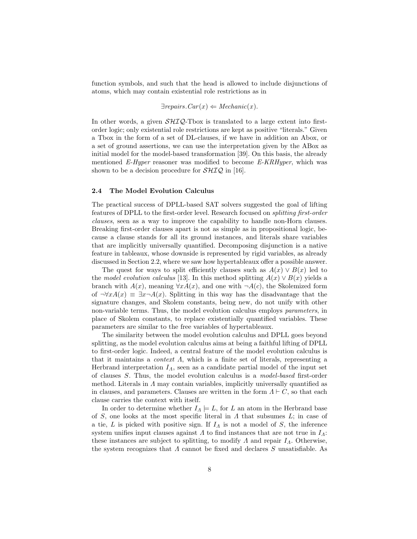function symbols, and such that the head is allowed to include disjunctions of atoms, which may contain existential role restrictions as in

$$
\exists \text{repairs.} \text{Car}(x) \Leftarrow \text{Mechanic}(x).
$$

In other words, a given  $\mathcal{SHIQ}$ -Tbox is translated to a large extent into firstorder logic; only existential role restrictions are kept as positive "literals." Given a Tbox in the form of a set of DL-clauses, if we have in addition an Abox, or a set of ground assertions, we can use the interpretation given by the ABox as initial model for the model-based transformation [39]. On this basis, the already mentioned E-Hyper reasoner was modified to become  $E-KRHyper$ , which was shown to be a decision procedure for  $\mathcal{SHIQ}$  in [16].

## 2.4 The Model Evolution Calculus

The practical success of DPLL-based SAT solvers suggested the goal of lifting features of DPLL to the first-order level. Research focused on splitting first-order clauses, seen as a way to improve the capability to handle non-Horn clauses. Breaking first-order clauses apart is not as simple as in propositional logic, because a clause stands for all its ground instances, and literals share variables that are implicitly universally quantified. Decomposing disjunction is a native feature in tableaux, whose downside is represented by rigid variables, as already discussed in Section 2.2, where we saw how hypertableaux offer a possible answer.

The quest for ways to split efficiently clauses such as  $A(x) \vee B(x)$  led to the model evolution calculus [13]. In this method splitting  $A(x) \vee B(x)$  yields a branch with  $A(x)$ , meaning  $\forall x A(x)$ , and one with  $\neg A(c)$ , the Skolemized form of  $\neg \forall x A(x) \equiv \exists x \neg A(x)$ . Splitting in this way has the disadvantage that the signature changes, and Skolem constants, being new, do not unify with other non-variable terms. Thus, the model evolution calculus employs parameters, in place of Skolem constants, to replace existentially quantified variables. These parameters are similar to the free variables of hypertableaux.

The similarity between the model evolution calculus and DPLL goes beyond splitting, as the model evolution calculus aims at being a faithful lifting of DPLL to first-order logic. Indeed, a central feature of the model evolution calculus is that it maintains a *context A*, which is a finite set of literals, representing a Herbrand interpretation  $I_A$ , seen as a candidate partial model of the input set of clauses S. Thus, the model evolution calculus is a model-based first-order method. Literals in  $\Lambda$  may contain variables, implicitly universally quantified as in clauses, and parameters. Clauses are written in the form  $\Lambda \vdash C$ , so that each clause carries the context with itself.

In order to determine whether  $I_A \models L$ , for L an atom in the Herbrand base of S, one looks at the most specific literal in  $\Lambda$  that subsumes  $L$ ; in case of a tie, L is picked with positive sign. If  $I<sub>A</sub>$  is not a model of S, the inference system unifies input clauses against  $\Lambda$  to find instances that are not true in  $I_{\Lambda}$ : these instances are subject to splitting, to modify  $\Lambda$  and repair  $I_{\Lambda}$ . Otherwise, the system recognizes that  $\Lambda$  cannot be fixed and declares  $S$  unsatisfiable. As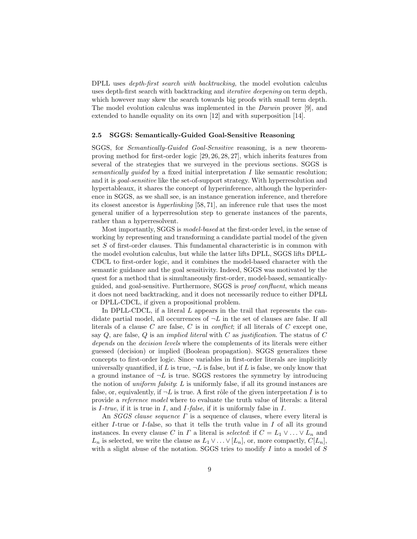DPLL uses *depth-first search with backtracking*, the model evolution calculus uses depth-first search with backtracking and iterative deepening on term depth, which however may skew the search towards big proofs with small term depth. The model evolution calculus was implemented in the Darwin prover [9], and extended to handle equality on its own [12] and with superposition [14].

## 2.5 SGGS: Semantically-Guided Goal-Sensitive Reasoning

SGGS, for Semantically-Guided Goal-Sensitive reasoning, is a new theoremproving method for first-order logic [29, 26, 28, 27], which inherits features from several of the strategies that we surveyed in the previous sections. SGGS is semantically guided by a fixed initial interpretation  $I$  like semantic resolution; and it is goal-sensitive like the set-of-support strategy. With hyperresolution and hypertableaux, it shares the concept of hyperinference, although the hyperinference in SGGS, as we shall see, is an instance generation inference, and therefore its closest ancestor is hyperlinking [58, 71], an inference rule that uses the most general unifier of a hyperresolution step to generate instances of the parents, rather than a hyperresolvent.

Most importantly, SGGS is model-based at the first-order level, in the sense of working by representing and transforming a candidate partial model of the given set S of first-order clauses. This fundamental characteristic is in common with the model evolution calculus, but while the latter lifts DPLL, SGGS lifts DPLL-CDCL to first-order logic, and it combines the model-based character with the semantic guidance and the goal sensitivity. Indeed, SGGS was motivated by the quest for a method that is simultaneously first-order, model-based, semanticallyguided, and goal-sensitive. Furthermore, SGGS is proof confluent, which means it does not need backtracking, and it does not necessarily reduce to either DPLL or DPLL-CDCL, if given a propositional problem.

In DPLL-CDCL, if a literal  $L$  appears in the trail that represents the candidate partial model, all occurrences of  $\neg L$  in the set of clauses are false. If all literals of a clause  $C$  are false,  $C$  is in *conflict*; if all literals of  $C$  except one, say  $Q$ , are false,  $Q$  is an *implied literal* with  $C$  as *justification*. The status of  $C$ depends on the decision levels where the complements of its literals were either guessed (decision) or implied (Boolean propagation). SGGS generalizes these concepts to first-order logic. Since variables in first-order literals are implicitly universally quantified, if L is true,  $\neg L$  is false, but if L is false, we only know that a ground instance of  $\neg L$  is true. SGGS restores the symmetry by introducing the notion of uniform falsity: L is uniformly false, if all its ground instances are false, or, equivalently, if  $\neg L$  is true. A first rôle of the given interpretation I is to provide a reference model where to evaluate the truth value of literals: a literal is  $I$ -true, if it is true in  $I$ , and  $I$ -false, if it is uniformly false in  $I$ .

An SGGS clause sequence  $\Gamma$  is a sequence of clauses, where every literal is either I-true or I-false, so that it tells the truth value in  $I$  of all its ground instances. In every clause C in  $\Gamma$  a literal is selected: if  $C = L_1 \vee \ldots \vee L_n$  and  $L_n$  is selected, we write the clause as  $L_1 \vee \ldots \vee [L_n]$ , or, more compactly,  $C[L_n]$ , with a slight abuse of the notation. SGGS tries to modify  $I$  into a model of  $S$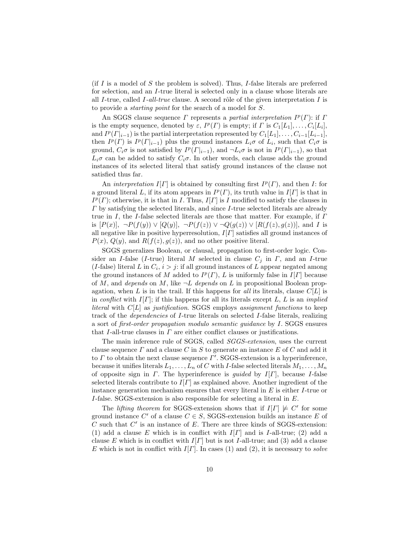(if I is a model of S the problem is solved). Thus, I-false literals are preferred for selection, and an I-true literal is selected only in a clause whose literals are all I-true, called I-all-true clause. A second rôle of the given interpretation I is to provide a starting point for the search of a model for S.

An SGGS clause sequence  $\Gamma$  represents a partial interpretation  $I^p(\Gamma)$ : if  $\Gamma$ is the empty sequence, denoted by  $\varepsilon$ ,  $I^p(\Gamma)$  is empty; if  $\Gamma$  is  $C_1[L_1], \ldots, C_i[L_i],$ and  $I^p(\Gamma|_{i-1})$  is the partial interpretation represented by  $C_1[L_1], \ldots, C_{i-1}[L_{i-1}],$ then  $I^p(\Gamma)$  is  $I^p(\Gamma|_{i-1})$  plus the ground instances  $L_i\sigma$  of  $L_i$ , such that  $C_i\sigma$  is ground,  $C_i \sigma$  is not satisfied by  $I^p(\Gamma|_{i-1})$ , and  $\neg L_i \sigma$  is not in  $I^p(\Gamma|_{i-1})$ , so that  $L_i\sigma$  can be added to satisfy  $C_i\sigma$ . In other words, each clause adds the ground instances of its selected literal that satisfy ground instances of the clause not satisfied thus far.

An *interpretation*  $I[\Gamma]$  is obtained by consulting first  $I^p(\Gamma)$ , and then *I*: for a ground literal L, if its atom appears in  $I^p(\Gamma)$ , its truth value in  $I[\Gamma]$  is that in  $I^p(\Gamma)$ ; otherwise, it is that in I. Thus,  $I[\Gamma]$  is I modified to satisfy the clauses in  $\Gamma$  by satisfying the selected literals, and since I-true selected literals are already true in I, the I-false selected literals are those that matter. For example, if  $\Gamma$ is  $[P(x)]$ ,  $\neg P(f(y)) \vee [Q(y)]$ ,  $\neg P(f(z)) \vee \neg Q(g(z)) \vee [R(f(z), g(z))]$ , and I is all negative like in positive hyperresolution,  $I|\Gamma|$  satisfies all ground instances of  $P(x)$ ,  $Q(y)$ , and  $R(f(z), g(z))$ , and no other positive literal.

SGGS generalizes Boolean, or clausal, propagation to first-order logic. Consider an I-false (I-true) literal M selected in clause  $C_i$  in  $\Gamma$ , and an I-true (*I*-false) literal L in  $C_i$ ,  $i > j$ : if all ground instances of L appear negated among the ground instances of M added to  $I^p(\Gamma)$ , L is uniformly false in  $I[\Gamma]$  because of M, and depends on M, like  $\neg L$  depends on L in propositional Boolean propagation, when L is in the trail. If this happens for all its literals, clause  $C[L]$  is in *conflict* with  $I[\Gamma]$ ; if this happens for all its literals except L, L is an *implied* literal with  $C[L]$  as justification. SGGS employs assignment functions to keep track of the dependencies of I-true literals on selected I-false literals, realizing a sort of first-order propagation modulo semantic guidance by I. SGGS ensures that I-all-true clauses in  $\Gamma$  are either conflict clauses or justifications.

The main inference rule of SGGS, called SGGS-extension, uses the current clause sequence  $\Gamma$  and a clause  $C$  in  $S$  to generate an instance  $E$  of  $C$  and add it to  $\Gamma$  to obtain the next clause sequence  $\Gamma'$ . SGGS-extension is a hyperinference, because it unifies literals  $L_1, \ldots, L_n$  of C with I-false selected literals  $M_1, \ldots, M_n$ of opposite sign in  $\Gamma$ . The hyperinference is *guided* by  $I[\Gamma]$ , because *I*-false selected literals contribute to  $I[\Gamma]$  as explained above. Another ingredient of the instance generation mechanism ensures that every literal in  $E$  is either  $I$ -true or I-false. SGGS-extension is also responsible for selecting a literal in E.

The lifting theorem for SGGS-extension shows that if  $I[T] \not\models C'$  for some ground instance  $C'$  of a clause  $C \in S$ , SGGS-extension builds an instance E of  $C$  such that  $C'$  is an instance of  $E$ . There are three kinds of SGGS-extension: (1) add a clause E which is in conflict with  $I[\Gamma]$  and is I-all-true; (2) add a clause E which is in conflict with  $I[T]$  but is not I-all-true; and (3) add a clause E which is not in conflict with  $I[\Gamma]$ . In cases (1) and (2), it is necessary to *solve*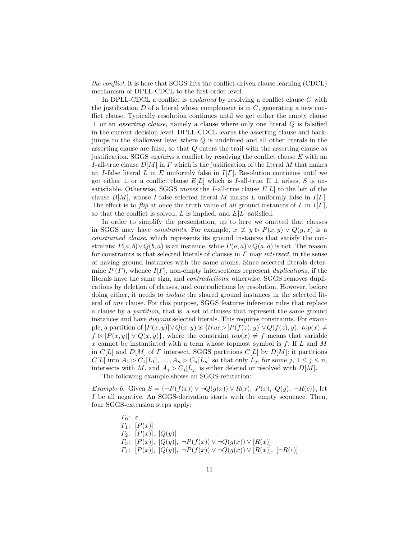the conflict: it is here that SGGS lifts the conflict-driven clause learning (CDCL) mechanism of DPLL-CDCL to the first-order level.

In DPLL-CDCL a conflict is *explained* by resolving a conflict clause  $C$  with the justification  $D$  of a literal whose complement is in  $C$ , generating a new conflict clause. Typically resolution continues until we get either the empty clause  $\perp$  or an *asserting clause*, namely a clause where only one literal Q is falsified in the current decision level. DPLL-CDCL learns the asserting clause and backjumps to the shallowest level where Q is undefined and all other literals in the asserting clause are false, so that Q enters the trail with the asserting clause as justification. SGGS *explains* a conflict by resolving the conflict clause  $E$  with an I-all-true clause  $D[M]$  in  $\Gamma$  which is the justification of the literal M that makes an I-false literal L in E uniformly false in  $I[\Gamma]$ . Resolution continues until we get either  $\perp$  or a conflict clause  $E[L]$  which is I-all-true. If  $\perp$  arises, S is unsatisfiable. Otherwise, SGGS moves the I-all-true clause  $E[L]$  to the left of the clause  $B[M]$ , whose I-false selected literal M makes L uniformly false in  $I[T]$ . The effect is to flip at once the truth value of all ground instances of L in  $I[\Gamma]$ , so that the conflict is solved,  $L$  is implied, and  $E[L]$  satisfied.

In order to simplify the presentation, up to here we omitted that clauses in SGGS may have constraints. For example,  $x \neq y \triangleright P(x, y) \vee Q(y, x)$  is a constrained clause, which represents its ground instances that satisfy the constraints:  $P(a, b) \vee Q(b, a)$  is an instance, while  $P(a, a) \vee Q(a, a)$  is not. The reason for constraints is that selected literals of clauses in  $\Gamma$  may *intersect*, in the sense of having ground instances with the same atoms. Since selected literals determine  $I^p(\Gamma)$ , whence  $I[\Gamma]$ , non-empty intersections represent *duplications*, if the literals have the same sign, and contradictions, otherwise. SGGS removes duplications by deletion of clauses, and contradictions by resolution. However, before doing either, it needs to *isolate* the shared ground instances in the selected literal of one clause. For this purpose, SGGS features inference rules that replace a clause by a partition, that is, a set of clauses that represent the same ground instances and have *disjoint* selected literals. This requires constraints. For example, a partition of  $[P(x, y)] \vee Q(x, y)$  is  $\{true \triangleright [P(f(z), y)] \vee Q(f(z), y), top(x) \neq 0\}$  $f \triangleright [P(x, y)] \vee Q(x, y)$ , where the constraint  $top(x) \neq f$  means that variable x cannot be instantiated with a term whose topmost symbol is  $f$ . If  $L$  and  $M$ in  $C[L]$  and  $D[M]$  of  $\Gamma$  intersect, SGGS partitions  $C[L]$  by  $D[M]$ : it partitions  $C[L]$  into  $A_1 \triangleright C_1[L_1], \ldots, A_n \triangleright C_n[L_n]$  so that only  $L_j$ , for some  $j, 1 \leq j \leq n$ , intersects with M, and  $A_i \triangleright C_i[L_i]$  is either deleted or resolved with  $D[M]$ . The following example shows an SGGS-refutation:

Example 6. Given  $S = \{\neg P(f(x)) \vee \neg Q(g(x)) \vee R(x), P(x), Q(y), \neg R(c)\}\$ , let I be all negative. An SGGS-derivation starts with the empty sequence. Then, four SGGS-extension steps apply:

> $\Gamma_0$ :  $\varepsilon$  $\Gamma_1: [P(x)]$  $\Gamma_2$ :  $[P(x)], [Q(y)]$  $\Gamma_3$ :  $[P(x)], [Q(y)], \neg P(f(x)) \vee \neg Q(g(x)) \vee [R(x)]$  $\Gamma_4$ :  $[P(x)], [Q(y)], \neg P(f(x)) \vee \neg Q(g(x)) \vee [R(x)], [\neg R(c)]$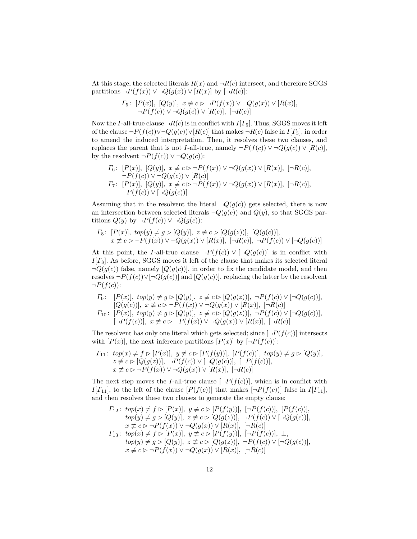At this stage, the selected literals  $R(x)$  and  $\neg R(c)$  intersect, and therefore SGGS partitions  $\neg P(f(x)) \vee \neg Q(g(x)) \vee [R(x)]$  by  $[\neg R(c)]$ :

$$
\Gamma_5: [P(x)], [Q(y)], x \not\equiv c \rhd \neg P(f(x)) \vee \neg Q(g(x)) \vee [R(x)],
$$
  

$$
\neg P(f(c)) \vee \neg Q(g(c)) \vee [R(c)], [\neg R(c)]
$$

Now the I-all-true clause  $\neg R(c)$  is in conflict with I[ $\Gamma_5$ ]. Thus, SGGS moves it left of the clause  $\neg P(f(c)) \vee \neg Q(g(c)) \vee [R(c)]$  that makes  $\neg R(c)$  false in  $I[F_5]$ , in order to amend the induced interpretation. Then, it resolves these two clauses, and replaces the parent that is not *I*-all-true, namely  $\neg P(f(c)) \vee \neg Q(g(c)) \vee [R(c)],$ by the resolvent  $\neg P(f(c)) \vee \neg Q(g(c))$ :

$$
T_6: [P(x)], [Q(y)], x \neq c \rightharpoonup P(f(x)) \vee \neg Q(g(x)) \vee [R(x)], [\neg R(c)],
$$
  
\n
$$
\neg P(f(c)) \vee \neg Q(g(c)) \vee [R(c)]
$$
  
\n
$$
T_7: [P(x)], [Q(y)], x \neq c \rightharpoonup P(f(x)) \vee \neg Q(g(x)) \vee [R(x)], [\neg R(c)],
$$
  
\n
$$
\neg P(f(c)) \vee [\neg Q(g(c))]
$$

Assuming that in the resolvent the literal  $\neg Q(g(c))$  gets selected, there is now an intersection between selected literals  $\neg Q(g(c))$  and  $Q(y)$ , so that SGGS partitions  $Q(y)$  by  $\neg P(f(c)) \vee \neg Q(g(c))$ :

$$
\Gamma_8: [P(x)], top(y) \neq g \triangleright [Q(y)], z \neq c \triangleright [Q(g(z))], [Q(g(c))],
$$
  

$$
x \neq c \triangleright \neg P(f(x)) \vee \neg Q(g(x)) \vee [R(x)], [\neg R(c)], \neg P(f(c)) \vee [\neg Q(g(c))]
$$

At this point, the I-all-true clause  $\neg P(f(c)) \vee [\neg Q(g(c))]$  is in conflict with  $I[T_8]$ . As before, SGGS moves it left of the clause that makes its selected literal  $\neg Q(g(c))$  false, namely  $[Q(g(c))]$ , in order to fix the candidate model, and then resolves  $\neg P(f(c)) \vee [\neg Q(g(c))]$  and  $[Q(g(c))]$ , replacing the latter by the resolvent  $\neg P(f(c))$ :

$$
\begin{array}{ll} \Gamma_9 \colon & [P(x)], \; top(y) \neq g \rhd [Q(y)], \; z \not\equiv c \rhd [Q(g(z))], \; \neg P(f(c)) \vee [\neg Q(g(c))], \\ & [Q(g(c))], \; x \not\equiv c \rhd \neg P(f(x)) \vee \neg Q(g(x)) \vee [R(x)], \; [\neg R(c)] \end{array}
$$

$$
\Gamma_{10}\colon [P(x)], \; top(y) \neq g \rhd [Q(y)], \; z \neq c \rhd [Q(g(z))], \; \neg P(f(c)) \vee [\neg Q(g(c))],
$$
  

$$
[\neg P(f(c))], \; x \neq c \rhd \neg P(f(x)) \vee \neg Q(g(x)) \vee [R(x)], \; [\neg R(c)]
$$

The resolvent has only one literal which gets selected; since  $[\neg P(f(c))]$  intersects with  $[P(x)]$ , the next inference partitions  $[P(x)]$  by  $[\neg P(f(c))]$ :

$$
\Gamma_{11}: \text{ top}(x) \neq f \rhd [P(x)], \ y \neq c \rhd [P(f(y))], \ [P(f(c))], \ \text{top}(y) \neq g \rhd [Q(y)],
$$
\n
$$
z \neq c \rhd [Q(g(z))], \ \neg P(f(c)) \lor [\neg Q(g(c))], \ [\neg P(f(c))],
$$
\n
$$
x \neq c \rhd \neg P(f(x)) \lor \neg Q(g(x)) \lor [R(x)], \ [\neg R(c)]
$$

The next step moves the I-all-true clause  $[\neg P(f(c))]$ , which is in conflict with  $I[T_{11}]$ , to the left of the clause  $[P(f(c))]$  that makes  $[\neg P(f(c))]$  false in  $I[T_{11}]$ , and then resolves these two clauses to generate the empty clause:

$$
\begin{array}{ll} \varGamma_{12}\colon\; top(x)\neq f\vartriangleright [P(x)],\;y\not\equiv c\vartriangleright [P(f(y))],\;[\neg P(f(c))],\;[P(f(c))],\\ \quad top(y)\neq g\vartriangleright [Q(y)],\;z\not\equiv c\vartriangleright [Q(g(z))],\;\neg P(f(c)\vee [\neg Q(g(c))],\\ x\not\equiv c\vartriangleright \neg P(f(x))\vee \neg Q(g(x))\vee [R(x)],\;[\neg R(c)]\\ \varGamma_{13}\colon\; top(x)\neq f\vartriangleright [P(x)],\;y\not\equiv c\vartriangleright [P(f(y))],\;[\neg P(f(c))\vee [\neg Q(g(c))],\\ \quad top(y)\neq g\vartriangleright [Q(y)],\;z\not\equiv c\vartriangleright [Q(g(z))],\;\neg P(f(c)\vee [\neg Q(g(c))],\\ x\not\equiv c\vartriangleright \neg P(f(x))\vee \neg Q(g(x))\vee [R(x)],\;[\neg R(c)] \end{array}
$$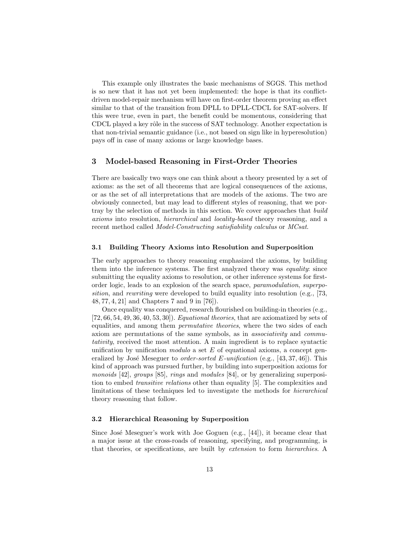This example only illustrates the basic mechanisms of SGGS. This method is so new that it has not yet been implemented: the hope is that its conflictdriven model-repair mechanism will have on first-order theorem proving an effect similar to that of the transition from DPLL to DPLL-CDCL for SAT-solvers. If this were true, even in part, the benefit could be momentous, considering that CDCL played a key rôle in the success of SAT technology. Another expectation is that non-trivial semantic guidance (i.e., not based on sign like in hyperesolution) pays off in case of many axioms or large knowledge bases.

## 3 Model-based Reasoning in First-Order Theories

There are basically two ways one can think about a theory presented by a set of axioms: as the set of all theorems that are logical consequences of the axioms, or as the set of all interpretations that are models of the axioms. The two are obviously connected, but may lead to different styles of reasoning, that we portray by the selection of methods in this section. We cover approaches that build axioms into resolution, hierarchical and locality-based theory reasoning, and a recent method called Model-Constructing satisfiability calculus or MCsat.

#### 3.1 Building Theory Axioms into Resolution and Superposition

The early approaches to theory reasoning emphasized the axioms, by building them into the inference systems. The first analyzed theory was *equality*: since submitting the equality axioms to resolution, or other inference systems for firstorder logic, leads to an explosion of the search space, paramodulation, superposition, and rewriting were developed to build equality into resolution (e.g., [73, 48, 77, 4, 21] and Chapters 7 and 9 in [76]).

Once equality was conquered, research flourished on building-in theories (e.g., [72, 66, 54, 49, 36, 40, 53, 30]). Equational theories, that are axiomatized by sets of equalities, and among them permutative theories, where the two sides of each axiom are permutations of the same symbols, as in associativity and commutativity, received the most attention. A main ingredient is to replace syntactic unification by unification modulo a set  $E$  of equational axioms, a concept generalized by José Meseguer to *order-sorted E-unification* (e.g.,  $[43, 37, 46]$ ). This kind of approach was pursued further, by building into superposition axioms for monoids [42], groups [85], rings and modules [84], or by generalizing superposition to embed transitive relations other than equality [5]. The complexities and limitations of these techniques led to investigate the methods for hierarchical theory reasoning that follow.

## 3.2 Hierarchical Reasoning by Superposition

Since José Meseguer's work with Joe Goguen  $(e.g., [44])$ , it became clear that a major issue at the cross-roads of reasoning, specifying, and programming, is that theories, or specifications, are built by extension to form hierarchies. A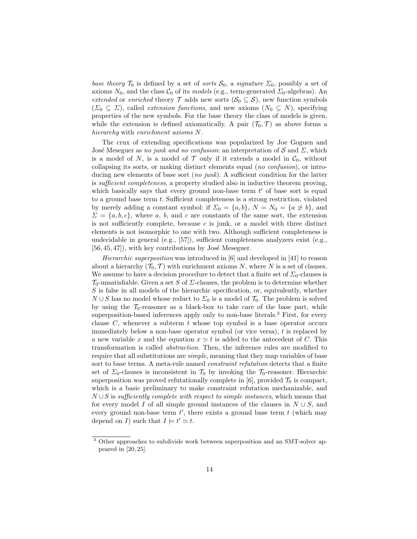base theory  $\mathcal{T}_0$  is defined by a set of sorts  $\mathcal{S}_0$ , a signature  $\Sigma_0$ , possibly a set of axioms  $N_0$ , and the class  $C_0$  of its models (e.g., term-generated  $\Sigma_0$ -algebras). An extended or enriched theory  $\mathcal T$  adds new sorts  $(\mathcal S_0 \subseteq \mathcal S)$ , new function symbols  $(\Sigma_0 \subseteq \Sigma)$ , called *extension functions*, and new axioms  $(N_0 \subseteq N)$ , specifying properties of the new symbols. For the base theory the class of models is given, while the extension is defined axiomatically. A pair  $(\mathcal{T}_0, \mathcal{T})$  as above forms a hierarchy with enrichment axioms N.

The crux of extending specifications was popularized by Joe Goguen and José Meseguer as no junk and no confusion: an interpretation of S and  $\Sigma$ , which is a model of N, is a model of  $\mathcal T$  only if it extends a model in  $\mathcal C_0$ , without collapsing its sorts, or making distinct elements equal (no confusion), or introducing new elements of base sort (no junk). A sufficient condition for the latter is sufficient completeness, a property studied also in inductive theorem proving, which basically says that every ground non-base term  $t'$  of base sort is equal to a ground base term t. Sufficient completeness is a strong restriction, violated by merely adding a constant symbol: if  $\Sigma_0 = \{a, b\}$ ,  $N = N_0 = \{a \not\approx b\}$ , and  $\Sigma = \{a, b, c\}$ , where a, b, and c are constants of the same sort, the extension is not sufficiently complete, because  $c$  is junk, or a model with three distinct elements is not isomorphic to one with two. Although sufficient completeness is undecidable in general (e.g., [57]), sufficient completeness analyzers exist (e.g.,  $[56, 45, 47]$ , with key contributions by José Meseguer.

Hierarchic superposition was introduced in [6] and developed in [41] to reason about a hierarchy  $(\mathcal{T}_0, \mathcal{T})$  with enrichment axioms N, where N is a set of clauses. We assume to have a decision procedure to detect that a finite set of  $\Sigma_0$ -clauses is  $\mathcal{T}_0$ -unsatisfiable. Given a set S of  $\Sigma$ -clauses, the problem is to determine whether  $S$  is false in all models of the hierarchic specification, or, equivalently, whether  $N \cup S$  has no model whose reduct to  $\Sigma_0$  is a model of  $\mathcal{T}_0$ . The problem is solved by using the  $\mathcal{T}_0$ -reasoner as a black-box to take care of the base part, while superposition-based inferences apply only to non-base literals.<sup>3</sup> First, for every clause  $C$ , whenever a subterm  $t$  whose top symbol is a base operator occurs immediately below a non-base operator symbol (or vice versa),  $t$  is replaced by a new variable x and the equation  $x \simeq t$  is added to the antecedent of C. This transformation is called abstraction. Then, the inference rules are modified to require that all substitutions are simple, meaning that they map variables of base sort to base terms. A meta-rule named constraint refutation detects that a finite set of  $\Sigma_0$ -clauses is inconsistent in  $\mathcal{T}_0$  by invoking the  $\mathcal{T}_0$ -reasoner. Hierarchic superposition was proved refutationally complete in [6], provided  $\mathcal{T}_0$  is compact, which is a basic preliminary to make constraint refutation mechanizable, and  $N \cup S$  is sufficiently complete with respect to simple instances, which means that for every model I of all simple ground instances of the clauses in  $N \cup S$ , and every ground non-base term  $t'$ , there exists a ground base term  $t$  (which may depend on *I*) such that  $I \models t' \simeq t$ .

<sup>3</sup> Other approaches to subdivide work between superposition and an SMT-solver appeared in [20, 25].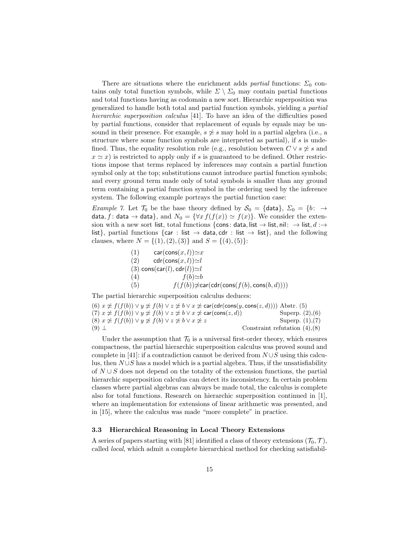There are situations where the enrichment adds *partial* functions:  $\Sigma_0$  contains only total function symbols, while  $\Sigma \setminus \Sigma_0$  may contain partial functions and total functions having as codomain a new sort. Hierarchic superposition was generalized to handle both total and partial function symbols, yielding a partial hierarchic superposition calculus [41]. To have an idea of the difficulties posed by partial functions, consider that replacement of equals by equals may be unsound in their presence. For example,  $s \not\cong s$  may hold in a partial algebra (i.e., a structure where some function symbols are interpreted as partial), if s is undefined. Thus, the equality resolution rule (e.g., resolution between  $C \vee s \not\cong s$  and  $x \approx x$ ) is restricted to apply only if s is guaranteed to be defined. Other restrictions impose that terms replaced by inferences may contain a partial function symbol only at the top; substitutions cannot introduce partial function symbols; and every ground term made only of total symbols is smaller than any ground term containing a partial function symbol in the ordering used by the inference system. The following example portrays the partial function case:

*Example 7.* Let  $\mathcal{T}_0$  be the base theory defined by  $\mathcal{S}_0 = \{ \text{data} \}, \Sigma_0 = \{ b : \rightarrow$ data, f: data  $\rightarrow$  data}, and  $N_0 = \{ \forall x f(f(x)) \simeq f(x) \}.$  We consider the extension with a new sort list, total functions {cons: data, list  $\rightarrow$  list, nil:  $\rightarrow$  list,  $d : \rightarrow$ list}, partial functions  $\{car : list \rightarrow data, cdr : list \rightarrow list\}$ , and the following clauses, where  $N = \{(1), (2), (3)\}\$  and  $S = \{(4), (5)\}\$ :

> (1) car(cons $(x, l)$ ) $\simeq x$ (2) cdr(cons $(x, l)$ ) $\simeq l$ (3) cons(car(l), cdr(l)) $\simeq l$ (4)  $f(b) \simeq b$ (5)  $f(f(b))\nleq \text{car}(\text{cdr}(\text{cons}(f(b), \text{cons}(b, d))))$

The partial hierarchic superposition calculus deduces:

(6)  $x \not\cong f(f(b)) \vee y \not\cong f(b) \vee z \not\cong b \vee x \not\cong \text{car}(\text{cdr}(\text{cons}(y, \text{cons}(z, d))))$  Abstr. (5) (7)  $x \not\cong f(f(b)) \vee y \not\cong f(b) \vee z \not\cong b \vee x \not\cong \text{car}(\text{cons}(z, d))$  Superp. (2),(6) (8)  $x \not\approx f(f(b)) \vee y \not\approx f(b) \vee z \not\approx b \vee x \not\approx z$  Superp. (1),(7) (9)  $\perp$  Constraint refutation (4),(8)

Under the assumption that  $\mathcal{T}_0$  is a universal first-order theory, which ensures compactness, the partial hierarchic superposition calculus was proved sound and complete in [41]: if a contradiction cannot be derived from  $N \cup S$  using this calculus, then  $N \cup S$  has a model which is a partial algebra. Thus, if the unsatisfiability of  $N \cup S$  does not depend on the totality of the extension functions, the partial hierarchic superposition calculus can detect its inconsistency. In certain problem classes where partial algebras can always be made total, the calculus is complete also for total functions. Research on hierarchic superposition continued in [1], where an implementation for extensions of linear arithmetic was presented, and in [15], where the calculus was made "more complete" in practice.

## 3.3 Hierarchical Reasoning in Local Theory Extensions

A series of papers starting with [81] identified a class of theory extensions  $(\mathcal{T}_0, \mathcal{T})$ , called local, which admit a complete hierarchical method for checking satisfiabil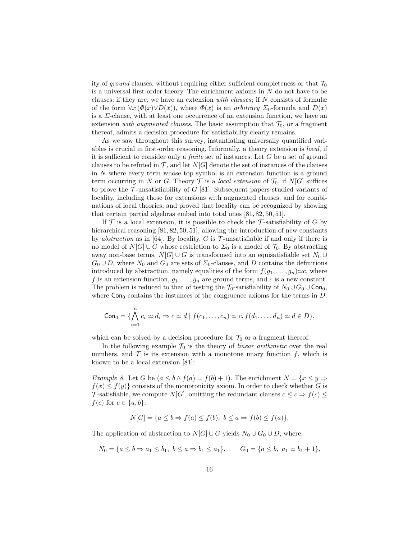ity of ground clauses, without requiring either sufficient completeness or that  $\mathcal{T}_0$ is a universal first-order theory. The enrichment axioms in N do not have to be clauses: if they are, we have an extension with clauses; if N consists of formulæ of the form  $\forall \bar{x} \, (\Phi(\bar{x}) \vee D(\bar{x}))$ , where  $\Phi(\bar{x})$  is an *arbitrary*  $\Sigma_0$ -formula and  $D(\bar{x})$ is a Σ-clause, with at least one occurrence of an extension function, we have an extension with augmented clauses. The basic assumption that  $\mathcal{T}_0$ , or a fragment thereof, admits a decision procedure for satisfiability clearly remains.

As we saw throughout this survey, instantiating universally quantified variables is crucial in first-order reasoning. Informally, a theory extension is local, if it is sufficient to consider only a *finite* set of instances. Let  $G$  be a set of ground clauses to be refuted in  $\mathcal{T}$ , and let  $N[G]$  denote the set of instances of the clauses in N where every term whose top symbol is an extension function is a ground term occurring in N or G. Theory  $\mathcal T$  is a local extension of  $\mathcal T_0$ , if  $N[G]$  suffices to prove the  $\mathcal T$ -unsatisfiability of  $G$  [81]. Subsequent papers studied variants of locality, including those for extensions with augmented clauses, and for combinations of local theories, and proved that locality can be recognized by showing that certain partial algebras embed into total ones [81, 82, 50, 51].

If  $\mathcal T$  is a local extension, it is possible to check the  $\mathcal T$ -satisfiability of G by hierarchical reasoning [81, 82, 50, 51], allowing the introduction of new constants by *abstraction* as in [64]. By locality, G is  $\mathcal T$ -unsatisfiable if and only if there is no model of  $N[G] \cup G$  whose restriction to  $\Sigma_0$  is a model of  $\mathcal{T}_0$ . By abstracting away non-base terms,  $N[G] \cup G$  is transformed into an equisatisfiable set  $N_0 \cup$  $G_0 \cup D$ , where  $N_0$  and  $G_0$  are sets of  $\Sigma_0$ -clauses, and D contains the definitions introduced by abstraction, namely equalities of the form  $f(g_1, \ldots, g_n) \simeq c$ , where f is an extension function,  $g_1, \ldots, g_n$  are ground terms, and c is a new constant. The problem is reduced to that of testing the  $\mathcal{T}_0$ -satisfiability of  $N_0 \cup G_0 \cup \text{Con}_0$ , where  $Con_0$  contains the instances of the congruence axioms for the terms in  $D$ :

Con<sub>0</sub> = { 
$$
\bigwedge_{i=1}^{n} c_i \simeq d_i \Rightarrow c \simeq d \mid f(c_1, \ldots, c_n) \simeq c, f(d_1, \ldots, d_n) \simeq d \in D \},
$$

which can be solved by a decision procedure for  $\mathcal{T}_0$  or a fragment thereof.

In the following example  $\mathcal{T}_0$  is the theory of *linear arithmetic* over the real numbers, and  $\mathcal T$  is its extension with a monotone unary function  $f$ , which is known to be a local extension [81]:

Example 8. Let G be  $(a \leq b \land f(a) = f(b) + 1)$ . The enrichment  $N = \{x \leq y \Rightarrow f(a) = f(b) + 1\}$ .  $f(x) \leq f(y)$  consists of the monotonicity axiom. In order to check whether G is T-satisfiable, we compute  $N[G]$ , omitting the redundant clauses  $c \leq c \Rightarrow f(c) \leq$  $f(c)$  for  $c \in \{a, b\}$ :

$$
N[G] = \{a \le b \Rightarrow f(a) \le f(b), \ b \le a \Rightarrow f(b) \le f(a)\}.
$$

The application of abstraction to  $N[G] \cup G$  yields  $N_0 \cup G_0 \cup D$ , where:

$$
N_0 = \{a \le b \Rightarrow a_1 \le b_1, \ b \le a \Rightarrow b_1 \le a_1\}, \qquad G_0 = \{a \le b, \ a_1 \simeq b_1 + 1\},\
$$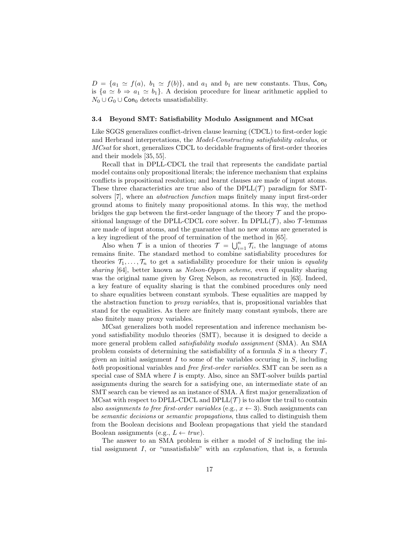$D = \{a_1 \simeq f(a), b_1 \simeq f(b)\}\text{, and } a_1 \text{ and } b_1 \text{ are new constants. Thus, } \text{Con}_0$ is  $\{a \simeq b \Rightarrow a_1 \simeq b_1\}$ . A decision procedure for linear arithmetic applied to  $N_0 \cup G_0 \cup \textsf{Con}_0$  detects unsatisfiability.

#### 3.4 Beyond SMT: Satisfiability Modulo Assignment and MCsat

Like SGGS generalizes conflict-driven clause learning (CDCL) to first-order logic and Herbrand interpretations, the Model-Constructing satisfiability calculus, or MCsat for short, generalizes CDCL to decidable fragments of first-order theories and their models [35, 55].

Recall that in DPLL-CDCL the trail that represents the candidate partial model contains only propositional literals; the inference mechanism that explains conflicts is propositional resolution; and learnt clauses are made of input atoms. These three characteristics are true also of the  $DPLL(\mathcal{T})$  paradigm for SMTsolvers [7], where an abstraction function maps finitely many input first-order ground atoms to finitely many propositional atoms. In this way, the method bridges the gap between the first-order language of the theory  $\mathcal T$  and the propositional language of the DPLL-CDCL core solver. In  $DPLL(\mathcal{T})$ , also  $\mathcal{T}$ -lemmas are made of input atoms, and the guarantee that no new atoms are generated is a key ingredient of the proof of termination of the method in [65].

Also when  $\mathcal T$  is a union of theories  $\mathcal T = \bigcup_{i=1}^n \mathcal T_i$ , the language of atoms remains finite. The standard method to combine satisfiability procedures for theories  $\mathcal{T}_1, \ldots, \mathcal{T}_n$  to get a satisfiability procedure for their union is equality sharing [64], better known as Nelson-Oppen scheme, even if equality sharing was the original name given by Greg Nelson, as reconstructed in [63]. Indeed, a key feature of equality sharing is that the combined procedures only need to share equalities between constant symbols. These equalities are mapped by the abstraction function to proxy variables, that is, propositional variables that stand for the equalities. As there are finitely many constant symbols, there are also finitely many proxy variables.

MCsat generalizes both model representation and inference mechanism beyond satisfiability modulo theories (SMT), because it is designed to decide a more general problem called satisfiability modulo assignment (SMA). An SMA problem consists of determining the satisfiability of a formula S in a theory  $\mathcal{T}$ , given an initial assignment  $I$  to some of the variables occuring in  $S$ , including both propositional variables and free first-order variables. SMT can be seen as a special case of SMA where I is empty. Also, since an SMT-solver builds partial assignments during the search for a satisfying one, an intermediate state of an SMT search can be viewed as an instance of SMA. A first major generalization of MCsat with respect to DPLL-CDCL and  $DPLL(\mathcal{T})$  is to allow the trail to contain also assignments to free first-order variables (e.g.,  $x \leftarrow 3$ ). Such assignments can be semantic decisions or semantic propagations, thus called to distinguish them from the Boolean decisions and Boolean propagations that yield the standard Boolean assignments (e.g.,  $L \leftarrow true$ ).

The answer to an SMA problem is either a model of S including the initial assignment I, or "unsatisfiable" with an explanation, that is, a formula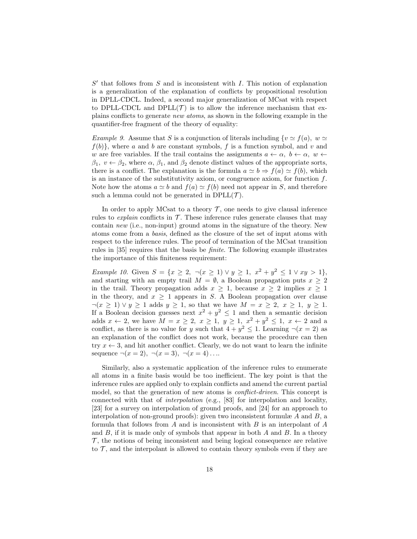$S'$  that follows from S and is inconsistent with I. This notion of explanation is a generalization of the explanation of conflicts by propositional resolution in DPLL-CDCL. Indeed, a second major generalization of MCsat with respect to DPLL-CDCL and  $DPLL(\mathcal{T})$  is to allow the inference mechanism that explains conflicts to generate new atoms, as shown in the following example in the quantifier-free fragment of the theory of equality:

*Example 9.* Assume that S is a conjunction of literals including  $\{v \simeq f(a), w \simeq f(a)\}$  $f(b)$ , where a and b are constant symbols, f is a function symbol, and v and w are free variables. If the trail contains the assignments  $a \leftarrow \alpha, b \leftarrow \alpha, w \leftarrow$  $\beta_1, v \leftarrow \beta_2$ , where  $\alpha, \beta_1$ , and  $\beta_2$  denote distinct values of the appropriate sorts, there is a conflict. The explanation is the formula  $a \simeq b \Rightarrow f(a) \simeq f(b)$ , which is an instance of the substitutivity axiom, or congruence axiom, for function  $f$ . Note how the atoms  $a \simeq b$  and  $f(a) \simeq f(b)$  need not appear in S, and therefore such a lemma could not be generated in  $DPLL(\mathcal{T})$ .

In order to apply MCsat to a theory  $\mathcal T$ , one needs to give clausal inference rules to *explain* conflicts in  $\mathcal{T}$ . These inference rules generate clauses that may contain new (i.e., non-input) ground atoms in the signature of the theory. New atoms come from a basis, defined as the closure of the set of input atoms with respect to the inference rules. The proof of termination of the MCsat transition rules in [35] requires that the basis be finite. The following example illustrates the importance of this finiteness requirement:

Example 10. Given  $S = \{x \geq 2, \neg(x \geq 1) \lor y \geq 1, x^2 + y^2 \leq 1 \lor xy > 1\},\$ and starting with an empty trail  $M = \emptyset$ , a Boolean propagation puts  $x \geq 2$ in the trail. Theory propagation adds  $x \geq 1$ , because  $x \geq 2$  implies  $x \geq 1$ in the theory, and  $x \geq 1$  appears in S. A Boolean propagation over clause  $\neg(x \geq 1) \lor y \geq 1$  adds  $y \geq 1$ , so that we have  $M = x \geq 2$ ,  $x \geq 1$ ,  $y \geq 1$ . If a Boolean decision guesses next  $x^2 + y^2 \leq 1$  and then a semantic decision adds  $x \leftarrow 2$ , we have  $M = x \geq 2$ ,  $x \geq 1$ ,  $y \geq 1$ ,  $x^2 + y^2 \leq 1$ ,  $x \leftarrow 2$  and a conflict, as there is no value for y such that  $4 + y^2 \leq 1$ . Learning  $\neg(x = 2)$  as an explanation of the conflict does not work, because the procedure can then try  $x \leftarrow 3$ , and hit another conflict. Clearly, we do not want to learn the infinite sequence  $\neg(x = 2), \neg(x = 3), \neg(x = 4) \dots$ 

Similarly, also a systematic application of the inference rules to enumerate all atoms in a finite basis would be too inefficient. The key point is that the inference rules are applied only to explain conflicts and amend the current partial model, so that the generation of new atoms is *conflict-driven*. This concept is connected with that of interpolation (e.g., [83] for interpolation and locality, [23] for a survey on interpolation of ground proofs, and [24] for an approach to interpolation of non-ground proofs): given two inconsistent formulæ  $A$  and  $B$ , a formula that follows from  $A$  and is inconsistent with  $B$  is an interpolant of  $A$ and  $B$ , if it is made only of symbols that appear in both  $A$  and  $B$ . In a theory  $\mathcal{T}$ , the notions of being inconsistent and being logical consequence are relative to  $\mathcal T$ , and the interpolant is allowed to contain theory symbols even if they are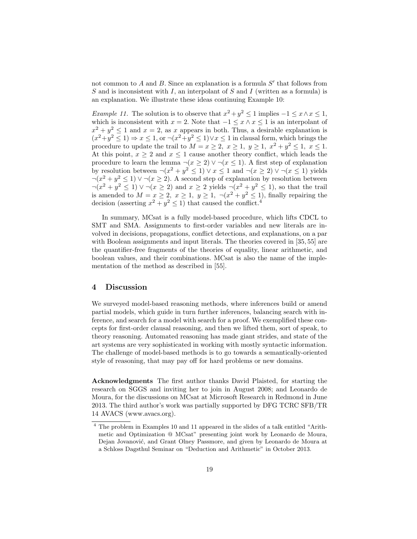not common to  $A$  and  $B$ . Since an explanation is a formula  $S'$  that follows from S and is inconsistent with I, an interpolant of S and I (written as a formula) is an explanation. We illustrate these ideas continuing Example 10:

*Example 11*. The solution is to observe that  $x^2 + y^2 \le 1$  implies  $-1 \le x \wedge x \le 1$ , which is inconsistent with  $x = 2$ . Note that  $-1 \leq x \wedge x \leq 1$  is an interpolant of  $x^2 + y^2 \le 1$  and  $x = 2$ , as x appears in both. Thus, a desirable explanation is  $(x^2+y^2 \leq 1) \Rightarrow x \leq 1$ , or  $\neg(x^2+y^2 \leq 1) \lor x \leq 1$  in clausal form, which brings the procedure to update the trail to  $M = x \geq 2, x \geq 1, y \geq 1, x^2 + y^2 \leq 1, x \leq 1.$ At this point,  $x \ge 2$  and  $x \le 1$  cause another theory conflict, which leads the procedure to learn the lemma  $\neg(x \geq 2) \lor \neg(x \leq 1)$ . A first step of explanation by resolution between  $\neg(x^2 + y^2 \leq 1) \lor x \leq 1$  and  $\neg(x \geq 2) \lor \neg(x \leq 1)$  yields  $\neg(x^2 + y^2 \leq 1) \lor \neg(x \geq 2)$ . A second step of explanation by resolution between  $\neg(x^2 + y^2 \leq 1) \lor \neg(x \geq 2)$  and  $x \geq 2$  yields  $\neg(x^2 + y^2 \leq 1)$ , so that the trail is amended to  $M = x \ge 2$ ,  $x \ge 1$ ,  $y \ge 1$ ,  $\neg(x^2 + y^2 \le 1)$ , finally repairing the decision (asserting  $x^2 + y^2 \le 1$ ) that caused the conflict.<sup>4</sup>

In summary, MCsat is a fully model-based procedure, which lifts CDCL to SMT and SMA. Assignments to first-order variables and new literals are involved in decisions, propagations, conflict detections, and explanations, on a par with Boolean assignments and input literals. The theories covered in [35, 55] are the quantifier-free fragments of the theories of equality, linear arithmetic, and boolean values, and their combinations. MCsat is also the name of the implementation of the method as described in [55].

# 4 Discussion

We surveyed model-based reasoning methods, where inferences build or amend partial models, which guide in turn further inferences, balancing search with inference, and search for a model with search for a proof. We exemplified these concepts for first-order clausal reasoning, and then we lifted them, sort of speak, to theory reasoning. Automated reasoning has made giant strides, and state of the art systems are very sophisticated in working with mostly syntactic information. The challenge of model-based methods is to go towards a semantically-oriented style of reasoning, that may pay off for hard problems or new domains.

Acknowledgments The first author thanks David Plaisted, for starting the research on SGGS and inviting her to join in August 2008; and Leonardo de Moura, for the discussions on MCsat at Microsoft Research in Redmond in June 2013. The third author's work was partially supported by DFG TCRC SFB/TR 14 AVACS (www.avacs.org).

 $^4$  The problem in Examples 10 and 11 appeared in the slides of a talk entitled "Arithmetic and Optimization @ MCsat" presenting joint work by Leonardo de Moura, Dejan Jovanović, and Grant Olney Passmore, and given by Leonardo de Moura at a Schloss Dagsthul Seminar on "Deduction and Arithmetic" in October 2013.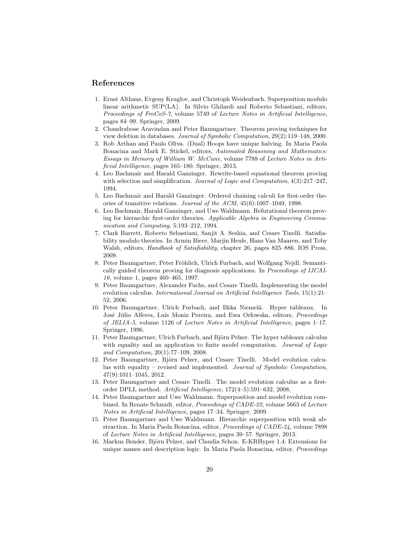# References

- 1. Ernst Althaus, Evgeny Kruglov, and Christoph Weidenbach. Superposition modulo linear arithmetic SUP(LA). In Silvio Ghilardi and Roberto Sebastiani, editors, Proceedings of FroCoS-7, volume 5749 of Lecture Notes in Artificial Intelligence, pages 84–99. Springer, 2009.
- 2. Chandrabose Aravindan and Peter Baumgartner. Theorem proving techniques for view deletion in databases. Journal of Symbolic Computation, 29(2):119–148, 2000.
- 3. Rob Arthan and Paulo Oliva. (Dual) Hoops have unique halving. In Maria Paola Bonacina and Mark E. Stickel, editors, Automated Reasoning and Mathematics: Essays in Memory of William W. McCune, volume 7788 of Lecture Notes in Artificial Intelligence, pages 165–180. Springer, 2013.
- 4. Leo Bachmair and Harald Ganzinger. Rewrite-based equational theorem proving with selection and simplification. Journal of Logic and Computation, 4(3):217–247, 1994.
- 5. Leo Bachmair and Harald Ganzinger. Ordered chaining calculi for first-order theories of transitive relations. Journal of the ACM, 45(6):1007–1049, 1998.
- 6. Leo Bachmair, Harald Ganzinger, and Uwe Waldmann. Refutational theorem proving for hierarchic first-order theories. Applicable Algebra in Engineering Communication and Computing, 5:193–212, 1994.
- 7. Clark Barrett, Roberto Sebastiani, Sanjit A. Seshia, and Cesare Tinelli. Satisfiability modulo theories. In Armin Biere, Marjin Heule, Hans Van Maaren, and Toby Walsh, editors, *Handbook of Satisfiability*, chapter 26, pages 825–886. IOS Press, 2009.
- 8. Peter Baumgartner, Peter Fröhlich, Ulrich Furbach, and Wolfgang Nejdl. Semantically guided theorem proving for diagnosis applications. In Proceedings of IJCAI-16, volume 1, pages 460–465, 1997.
- 9. Peter Baumgartner, Alexander Fuchs, and Cesare Tinelli. Implementing the model evolution calculus. International Journal on Artificial Intelligence Tools, 15(1):21– 52, 2006.
- 10. Peter Baumgartner, Ulrich Furbach, and Ilkka Niemelä. Hyper tableaux. In José Júlio Alferes, Luís Moniz Pereira, and Ewa Orłowska, editors, *Proceedings* of JELIA-5, volume 1126 of Lecture Notes in Artificial Intelligence, pages 1–17. Springer, 1996.
- 11. Peter Baumgartner, Ulrich Furbach, and Björn Pelzer. The hyper tableaux calculus with equality and an application to finite model computation. *Journal of Logic* and Computation, 20(1):77–109, 2008.
- 12. Peter Baumgartner, Björn Pelzer, and Cesare Tinelli. Model evolution calculus with equality – revised and implemented. Journal of Symbolic Computation, 47(9):1011–1045, 2012.
- 13. Peter Baumgartner and Cesare Tinelli. The model evolution calculus as a firstorder DPLL method. Artificial Intelligence, 172(4–5):591–632, 2008.
- 14. Peter Baumgartner and Uwe Waldmann. Superposition and model evolution combined. In Renate Schmidt, editor, Proceedings of CADE-22, volume 5663 of Lecture Notes in Artificial Intelligence, pages 17–34. Springer, 2009.
- 15. Peter Baumgartner and Uwe Waldmann. Hierarchic superposition with weak abstraction. In Maria Paola Bonacina, editor, Proceedings of CADE-24, volume 7898 of Lecture Notes in Artificial Intelligence, pages 39–57. Springer, 2013.
- 16. Markus Bender, Björn Pelzer, and Claudia Schon. E-KRHyper 1.4: Extensions for unique names and description logic. In Maria Paola Bonacina, editor, Proceedings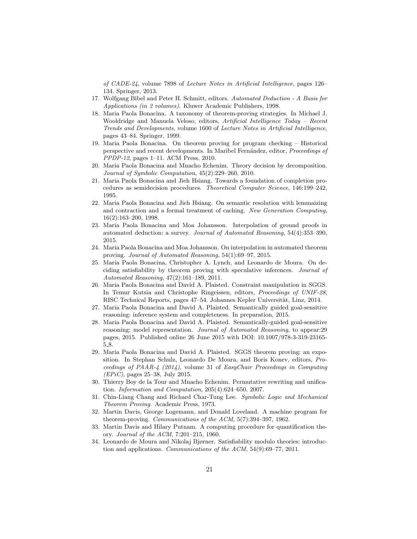of CADE-24, volume 7898 of Lecture Notes in Artificial Intelligence, pages 126– 134. Springer, 2013.

- 17. Wolfgang Bibel and Peter H. Schmitt, editors. Automated Deduction A Basis for Applications (in 2 volumes). Kluwer Academic Publishers, 1998.
- 18. Maria Paola Bonacina. A taxonomy of theorem-proving strategies. In Michael J. Wooldridge and Manuela Veloso, editors, Artificial Intelligence Today – Recent Trends and Developments, volume 1600 of Lecture Notes in Artificial Intelligence, pages 43–84. Springer, 1999.
- 19. Maria Paola Bonacina. On theorem proving for program checking Historical perspective and recent developments. In Maribel Fern´andez, editor, Proceedings of PPDP-12, pages 1–11. ACM Press, 2010.
- 20. Maria Paola Bonacina and Mnacho Echenim. Theory decision by decomposition. Journal of Symbolic Computation, 45(2):229–260, 2010.
- 21. Maria Paola Bonacina and Jieh Hsiang. Towards a foundation of completion procedures as semidecision procedures. Theoretical Computer Science, 146:199–242, 1995.
- 22. Maria Paola Bonacina and Jieh Hsiang. On semantic resolution with lemmaizing and contraction and a formal treatment of caching. New Generation Computing, 16(2):163–200, 1998.
- 23. Maria Paola Bonacina and Moa Johansson. Interpolation of ground proofs in automated deduction: a survey. Journal of Automated Reasoning, 54(4):353–390, 2015.
- 24. Maria Paola Bonacina and Moa Johansson. On interpolation in automated theorem proving. Journal of Automated Reasoning, 54(1):69–97, 2015.
- 25. Maria Paola Bonacina, Christopher A. Lynch, and Leonardo de Moura. On deciding satisfiability by theorem proving with speculative inferences. Journal of Automated Reasoning, 47(2):161–189, 2011.
- 26. Maria Paola Bonacina and David A. Plaisted. Constraint manipulation in SGGS. In Temur Kutsia and Christophe Ringeissen, editors, Proceedings of UNIF-28, RISC Technical Reports, pages 47–54. Johannes Kepler Universität, Linz, 2014.
- 27. Maria Paola Bonacina and David A. Plaisted. Semantically guided goal-sensitive reasoning: inference system and completeness. In preparation, 2015.
- 28. Maria Paola Bonacina and David A. Plaisted. Semantically-guided goal-sensitive reasoning: model representation. Journal of Automated Reasoning, to appear:29 pages, 2015. Published online 26 June 2015 with DOI: 10.1007/978-3-319-23165- 5 8.
- 29. Maria Paola Bonacina and David A. Plaisted. SGGS theorem proving: an exposition. In Stephan Schulz, Leonardo De Moura, and Boris Konev, editors, Proceedings of PAAR-4 (2014), volume 31 of EasyChair Proceedings in Computing  $(EPiC)$ , pages 25–38, July 2015.
- 30. Thierry Boy de la Tour and Mnacho Echenim. Permutative rewriting and unification. Information and Computation, 205(4):624–650, 2007.
- 31. Chin-Liang Chang and Richard Char-Tung Lee. Symbolic Logic and Mechanical Theorem Proving. Academic Press, 1973.
- 32. Martin Davis, George Logemann, and Donald Loveland. A machine program for theorem-proving. Communications of the ACM, 5(7):394–397, 1962.
- 33. Martin Davis and Hilary Putnam. A computing procedure for quantification theory. Journal of the ACM, 7:201–215, 1960.
- 34. Leonardo de Moura and Nikolaj Bjørner. Satisfiability modulo theories: introduction and applications. Communications of the ACM, 54(9):69–77, 2011.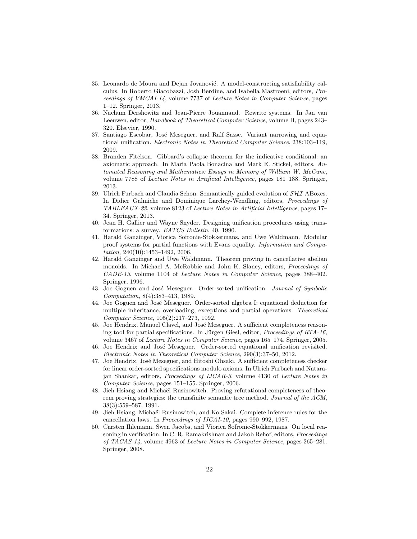- 35. Leonardo de Moura and Dejan Jovanović. A model-constructing satisfiability calculus. In Roberto Giacobazzi, Josh Berdine, and Isabella Mastroeni, editors, Proceedings of VMCAI-14, volume 7737 of Lecture Notes in Computer Science, pages 1–12. Springer, 2013.
- 36. Nachum Dershowitz and Jean-Pierre Jouannaud. Rewrite systems. In Jan van Leeuwen, editor, Handbook of Theoretical Computer Science, volume B, pages 243– 320. Elsevier, 1990.
- 37. Santiago Escobar, José Meseguer, and Ralf Sasse. Variant narrowing and equational unification. Electronic Notes in Theoretical Computer Science, 238:103–119, 2009.
- 38. Branden Fitelson. Gibbard's collapse theorem for the indicative conditional: an axiomatic approach. In Maria Paola Bonacina and Mark E. Stickel, editors, Automated Reasoning and Mathematics: Essays in Memory of William W. McCune, volume 7788 of Lecture Notes in Artificial Intelligence, pages 181–188. Springer, 2013.
- 39. Ulrich Furbach and Claudia Schon. Semantically guided evolution of  $\mathcal{SHL}$  ABoxes. In Didier Galmiche and Dominique Larchey-Wendling, editors, Proceedings of TABLEAUX-22, volume 8123 of Lecture Notes in Artificial Intelligence, pages 17– 34. Springer, 2013.
- 40. Jean H. Gallier and Wayne Snyder. Designing unification procedures using transformations: a survey. EATCS Bulletin, 40, 1990.
- 41. Harald Ganzinger, Viorica Sofronie-Stokkermans, and Uwe Waldmann. Modular proof systems for partial functions with Evans equality. Information and Computation, 240(10):1453–1492, 2006.
- 42. Harald Ganzinger and Uwe Waldmann. Theorem proving in cancellative abelian monoids. In Michael A. McRobbie and John K. Slaney, editors, Proceedings of CADE-13, volume 1104 of Lecture Notes in Computer Science, pages 388–402. Springer, 1996.
- 43. Joe Goguen and José Meseguer. Order-sorted unification. Journal of Symbolic Computation, 8(4):383–413, 1989.
- 44. Joe Goguen and José Meseguer. Order-sorted algebra I: equational deduction for multiple inheritance, overloading, exceptions and partial operations. Theoretical Computer Science, 105(2):217–273, 1992.
- 45. Joe Hendrix, Manuel Clavel, and José Meseguer. A sufficient completeness reasoning tool for partial specifications. In Jürgen Giesl, editor, *Proceedings of RTA-16*, volume 3467 of Lecture Notes in Computer Science, pages 165–174. Springer, 2005.
- 46. Joe Hendrix and José Meseguer. Order-sorted equational unification revisited. Electronic Notes in Theoretical Computer Science, 290(3):37–50, 2012.
- 47. Joe Hendrix, José Meseguer, and Hitoshi Ohsaki. A sufficient completeness checker for linear order-sorted specifications modulo axioms. In Ulrich Furbach and Natarajan Shankar, editors, Proceedings of IJCAR-3, volume 4130 of Lecture Notes in Computer Science, pages 151–155. Springer, 2006.
- 48. Jieh Hsiang and Michaël Rusinowitch. Proving refutational completeness of theorem proving strategies: the transfinite semantic tree method. Journal of the ACM, 38(3):559–587, 1991.
- 49. Jieh Hsiang, Michaël Rusinowitch, and Ko Sakai. Complete inference rules for the cancellation laws. In Proceedings of IJCAI-10, pages 990–992, 1987.
- 50. Carsten Ihlemann, Swen Jacobs, and Viorica Sofronie-Stokkermans. On local reasoning in verification. In C. R. Ramakrishnan and Jakob Rehof, editors, Proceedings of TACAS-14, volume 4963 of Lecture Notes in Computer Science, pages 265–281. Springer, 2008.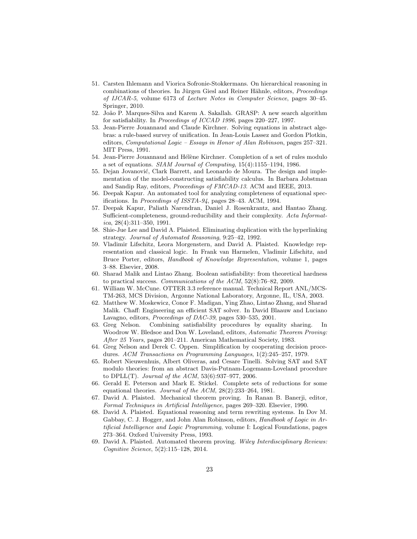- 51. Carsten Ihlemann and Viorica Sofronie-Stokkermans. On hierarchical reasoning in combinations of theories. In Jürgen Giesl and Reiner Hähnle, editors, *Proceedings* of IJCAR-5, volume 6173 of Lecture Notes in Computer Science, pages 30–45. Springer, 2010.
- 52. Jo˜ao P. Marques-Silva and Karem A. Sakallah. GRASP: A new search algorithm for satisfiability. In Proceedings of ICCAD 1996, pages 220–227, 1997.
- 53. Jean-Pierre Jouannaud and Claude Kirchner. Solving equations in abstract algebras: a rule-based survey of unification. In Jean-Louis Lassez and Gordon Plotkin, editors, Computational Logic – Essays in Honor of Alan Robinson, pages 257–321. MIT Press, 1991.
- 54. Jean-Pierre Jouannaud and Hélène Kirchner. Completion of a set of rules modulo a set of equations. SIAM Journal of Computing, 15(4):1155–1194, 1986.
- 55. Dejan Jovanović, Clark Barrett, and Leonardo de Moura. The design and implementation of the model-constructing satisfiability calculus. In Barbara Jobstman and Sandip Ray, editors, Proceedings of FMCAD-13. ACM and IEEE, 2013.
- 56. Deepak Kapur. An automated tool for analyzing completeness of equational specifications. In Proceedings of ISSTA-94, pages 28–43. ACM, 1994.
- 57. Deepak Kapur, Paliath Narendran, Daniel J. Rosenkrantz, and Hantao Zhang. Sufficient-completeness, ground-reducibility and their complexity. Acta Informatica,  $28(4):311-350$ , 1991.
- 58. Shie-Jue Lee and David A. Plaisted. Eliminating duplication with the hyperlinking strategy. Journal of Automated Reasoning, 9:25–42, 1992.
- 59. Vladimir Lifschitz, Leora Morgenstern, and David A. Plaisted. Knowledge representation and classical logic. In Frank van Harmelen, Vladimir Lifschitz, and Bruce Porter, editors, Handbook of Knowledge Representation, volume 1, pages 3–88. Elsevier, 2008.
- 60. Sharad Malik and Lintao Zhang. Boolean satisfiability: from theoretical hardness to practical success. Communications of the ACM, 52(8):76–82, 2009.
- 61. William W. McCune. OTTER 3.3 reference manual. Technical Report ANL/MCS-TM-263, MCS Division, Argonne National Laboratory, Argonne, IL, USA, 2003.
- 62. Matthew W. Moskewicz, Conor F. Madigan, Ying Zhao, Lintao Zhang, and Sharad Malik. Chaff: Engineering an efficient SAT solver. In David Blaauw and Luciano Lavagno, editors, Proceedings of DAC-39, pages 530–535, 2001.
- 63. Greg Nelson. Combining satisfiability procedures by equality sharing. In Woodrow W. Bledsoe and Don W. Loveland, editors, Automatic Theorem Proving: After 25 Years, pages 201–211. American Mathematical Society, 1983.
- 64. Greg Nelson and Derek C. Oppen. Simplification by cooperating decision procedures. ACM Transactions on Programming Languages, 1(2):245–257, 1979.
- 65. Robert Nieuwenhuis, Albert Oliveras, and Cesare Tinelli. Solving SAT and SAT modulo theories: from an abstract Davis-Putnam-Logemann-Loveland procedure to DPLL(T). Journal of the ACM, 53(6):937–977, 2006.
- 66. Gerald E. Peterson and Mark E. Stickel. Complete sets of reductions for some equational theories. Journal of the ACM, 28(2):233–264, 1981.
- 67. David A. Plaisted. Mechanical theorem proving. In Ranan B. Banerji, editor, Formal Techniques in Artificial Intelligence, pages 269–320. Elsevier, 1990.
- 68. David A. Plaisted. Equational reasoning and term rewriting systems. In Dov M. Gabbay, C. J. Hogger, and John Alan Robinson, editors, *Handbook of Logic in Ar*tificial Intelligence and Logic Programming, volume I: Logical Foundations, pages 273–364. Oxford University Press, 1993.
- 69. David A. Plaisted. Automated theorem proving. Wiley Interdisciplinary Reviews: Cognitive Science, 5(2):115–128, 2014.